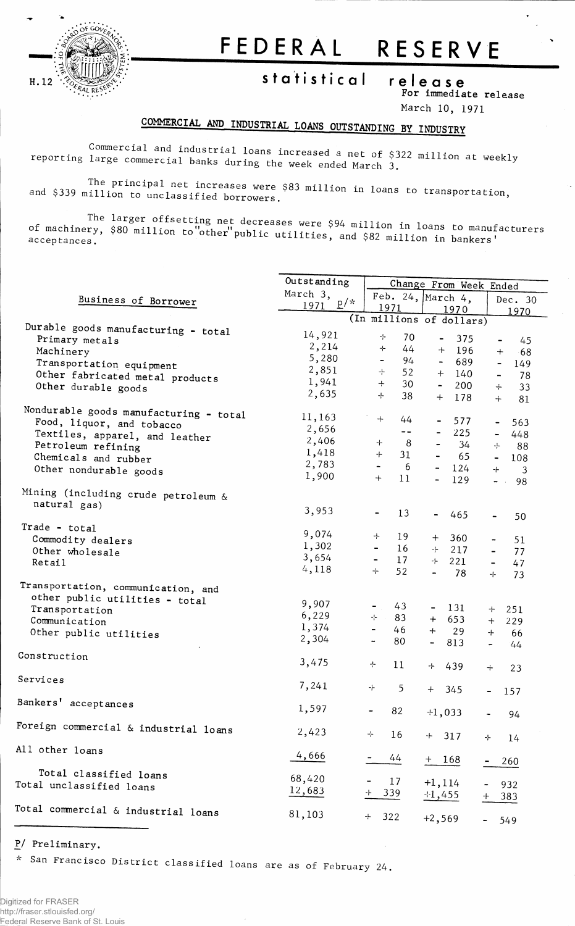

## FEDERAL RESERVE

statistical

release For immediate release March 10, 1971

## COMMERCIAL AND INDUSTRIAL LOANS OUTSTANDING BY INDUSTRY

Commercial and industrial loans increased a net of \$322 million at weekly reporting large commercial banks during the week ended March  $3$ .

The principal net increases were \$83 million in loans to transportation, and \$339 million to unclassified borrowers.

The larger offsetting net decreases were \$94 million in loans to manufacturers of machinery, \$80 million to other public utilities, and \$82 million in bankers'

|                                        | Outstanding   | Change From Week Ended         |                                     |                                    |  |  |  |
|----------------------------------------|---------------|--------------------------------|-------------------------------------|------------------------------------|--|--|--|
|                                        | March 3,      |                                | Feb. 24, March 4,                   |                                    |  |  |  |
| Business of Borrower                   | $p/*$<br>1971 | 1971                           | 1970                                | Dec. 30<br>1970                    |  |  |  |
|                                        |               |                                | (In millions of dollars)            |                                    |  |  |  |
| Durable goods manufacturing - total    | 14,921        |                                |                                     |                                    |  |  |  |
| Primary metals                         |               | ÷<br>70                        | 375<br>$\blacksquare$               | 45<br>$\overline{\phantom{a}}$     |  |  |  |
| Machinery                              | 2,214         | $+$<br>44                      | $+$<br>196                          | $+$<br>$-68$                       |  |  |  |
| Transportation equipment               | 5,280         | $\blacksquare$<br>94           | 689<br>$\overline{\phantom{0}}$     | $\blacksquare$<br>149              |  |  |  |
| Other fabricated metal products        | 2,851         | ÷<br>52                        | $+$<br>140                          | 78<br>$\qquad \qquad \blacksquare$ |  |  |  |
| Other durable goods                    | 1,941         | $+$<br>30                      | $\blacksquare$<br>200               | 33<br>$+$                          |  |  |  |
|                                        | 2,635         | $\rightarrow$<br>38            | $+$<br>178                          | $+$<br>81                          |  |  |  |
| Nondurable goods manufacturing - total | 11,163        |                                |                                     |                                    |  |  |  |
| Food, liquor, and tobacco              |               | $+$<br>44                      | 577<br>$\qquad \qquad \blacksquare$ | 563<br>$\blacksquare$              |  |  |  |
| Textiles, apparel, and leather         | 2,656         | $- -$                          | 225                                 | 448<br>$\blacksquare$              |  |  |  |
| Petroleum refining                     | 2,406         | $^+$<br>8                      | 34<br>$\blacksquare$                | ÷<br>88                            |  |  |  |
| Chemicals and rubber                   | 1,418         | 31<br>$+$                      | $\blacksquare$<br>65                | $\blacksquare$<br>108              |  |  |  |
| Other nondurable goods                 | 2,783         | 6<br>$\blacksquare$            | $\sim$<br>124                       | $+$<br>3                           |  |  |  |
|                                        | 1,900         | $+$<br>11                      | 129<br>$\overline{\phantom{0}}$     | $\blacksquare$<br>98<br>$\sim$     |  |  |  |
| Mining (including crude petroleum &    |               |                                |                                     |                                    |  |  |  |
| natural gas)                           | 3,953         |                                |                                     |                                    |  |  |  |
|                                        |               | 13                             | 465<br>$\blacksquare$               | 50<br>$\frac{1}{2}$                |  |  |  |
| Trade - total                          | 9,074         | ÷<br>19                        |                                     |                                    |  |  |  |
| Commodity dealers                      | 1,302         | $\overline{\phantom{a}}$<br>16 | $+$<br>360                          | 51<br>$\blacksquare$               |  |  |  |
| Other wholesale                        | 3,654         | 17<br>$\blacksquare$           | -1-<br>217                          | 77<br>$\blacksquare$               |  |  |  |
| Retail                                 | 4,118         | $+$<br>52                      | 221<br>-1-<br>78<br>$\blacksquare$  | 47<br>$\blacksquare$<br>÷<br>73    |  |  |  |
| Transportation, communication, and     |               |                                |                                     |                                    |  |  |  |
| other public utilities - total         |               |                                |                                     |                                    |  |  |  |
| Transportation                         | 9,907         | 43                             | 131<br>$\blacksquare$               | 251<br>$+$                         |  |  |  |
| Communication                          | 6,229         | -1-<br>83                      | 653<br>$^{+}$                       | $+$<br>229                         |  |  |  |
| Other public utilities                 | 1,374         | $\overline{\phantom{0}}$<br>46 | $+$<br>29                           | $+$<br>66                          |  |  |  |
|                                        | 2,304         | 80<br>$\rightarrow$            | $\overline{\phantom{0}}$<br>813     | $\blacksquare$<br>44               |  |  |  |
| Construction                           |               |                                |                                     |                                    |  |  |  |
|                                        | 3,475         | ÷<br>11                        | ⊹<br>439                            | $+$<br>23                          |  |  |  |
| Services                               | 7,241         | -F<br>5                        |                                     |                                    |  |  |  |
|                                        |               |                                | $+$<br>345                          | 157                                |  |  |  |
| Bankers' acceptances                   | 1,597         | 82                             | $+1,033$                            |                                    |  |  |  |
|                                        |               |                                |                                     | 94                                 |  |  |  |
| Foreign commercial & industrial loans  | 2,423         | 소<br>16                        | 317<br>$+$                          | ÷<br>14                            |  |  |  |
| All other loans                        |               |                                |                                     |                                    |  |  |  |
|                                        | 4,666         | 44                             | $+ 168$                             | 260                                |  |  |  |
| Total classified loans                 | 68,420        |                                |                                     |                                    |  |  |  |
| Total unclassified loans               | 12,683        | 17                             | $+1, 114$                           | 932                                |  |  |  |
|                                        |               | 339                            | $+1,455$                            | 383                                |  |  |  |
| Total commercial & industrial loans    | 81,103        | 322<br>÷                       |                                     |                                    |  |  |  |
|                                        |               |                                | $+2,569$                            | 549                                |  |  |  |

P/ Preliminary.

 $T$ 

San Francisco District classified loans are as of February 24.  $\mathcal{H}^{\pm}$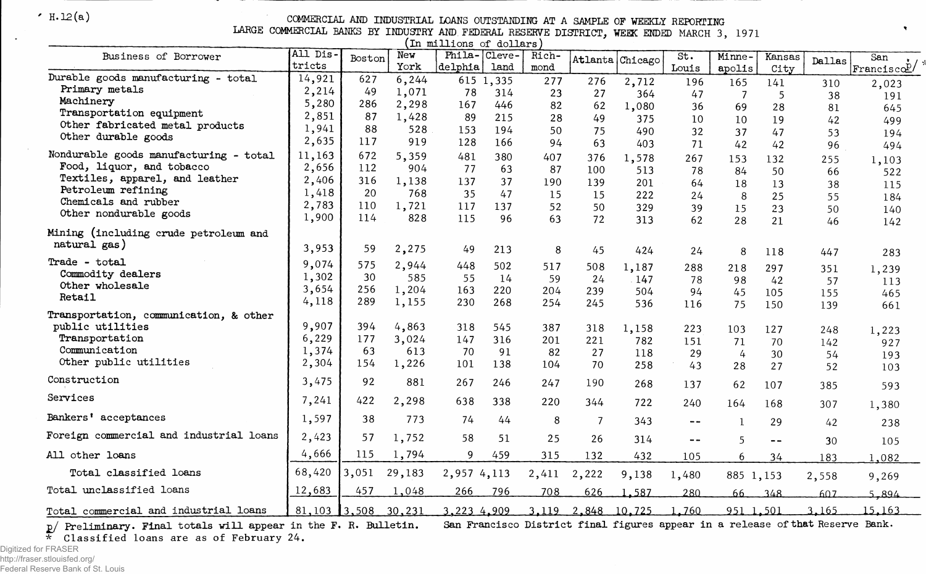H.12(a) COMMERCIAL AMD INDUSTRIAL LOANS OUTSTANDING AT A SAMPLE OF WEEKLY REPORTING

LARGE COMMERCIAL BANKS BY INDUSTRY AND FEDERAL RESERVE DISTRICT, WEEK ENDED MARCH 3, 1971

 $\pmb{\gamma}$ 

| 'Th mettions or dottails                              |                |        |        |              |           |       |                |                    |               |              |        |        |                    |
|-------------------------------------------------------|----------------|--------|--------|--------------|-----------|-------|----------------|--------------------|---------------|--------------|--------|--------|--------------------|
| Business of Borrower                                  | All Dis.       | Boston | New    | Phila-Cleve- |           | Rich- |                | Atlanta Chicago    | St.           | Minne-       | Kansas | Dallas | San                |
|                                                       | tricts         |        | York   | delphia      | land      | mond  |                |                    | Louis         | apolis       | City   |        | $ $ Francisco $2/$ |
| Durable goods manufacturing - total<br>Primary metals | 14,921         | 627    | 6,244  |              | 615 1,335 | 277   | 276            | 2,712              | 196           | 165          | 141    | 310    | 2,023              |
| Machinery                                             | 2,214          | 49     | 1,071  | 78           | 314       | 23    | 27             | 364                | 47            | -7           | -5     | 38     | 191                |
| Transportation equipment                              | 5,280          | 286    | 2,298  | 167          | 446       | 82    | 62             | 1,080              | 36            | 69           | 28     | 81     | 645                |
| Other fabricated metal products                       | 2,851          | 87     | 1,428  | 89           | 215       | 28    | 49             | 375                | 10            | 10           | 19     | 42     | 499                |
| Other durable goods                                   | 1,941          | 88     | 528    | 153          | 194       | 50    | 75             | 490                | 32            | 37           | 47     | 53     | 194                |
|                                                       | 2,635          | 117    | 919    | 128          | 166       | 94    | 63             | 403                | 71            | 42           | 42     | 96     | 494                |
| Nondurable goods manufacturing - total                | 11,163         | 672    | 5,359  | 481          | 380       | 407   | 376            | 1,578              | 267           | 153          | 132    | 255    | 1,103              |
| Food, liquor, and tobacco                             | 2,656          | 112    | 904    | 77           | -63       | 87    | 100            | 513                | 78            | 84           | 50     | 66     | 522                |
| Textiles, apparel, and leather                        | 2,406          | 316    | 1,138  | 137          | 37        | 190   | 139            | 201                | 64            | 18           | 13     | 38     | 115                |
| Petroleum refining<br>Chemicals and rubber            | 1,418          | 20     | 768    | 35           | 47        | 15    | 15             | 222                | 24            | 8            | 25     | 55     | 184                |
| Other nondurable goods                                | 2,783          | 110    | 1,721  | 117          | 137       | 52    | 50             | 329                | 39            | 15           | 23     | 50     | 140                |
|                                                       | 1,900          | 114    | 828    | 115          | 96        | 63    | 72             | 313                | 62            | 28           | 21     | 46     | 142                |
| Mining (including crude petroleum and                 |                |        |        |              |           |       |                |                    |               |              |        |        |                    |
| natural gas)                                          | 3,953          | 59     | 2,275  | 49           | 213       | 8     | 45             | 424                | 24            | 8            | 118    | 447    | 283                |
| Trade - total                                         | 9,074          | 575    | 2,944  | 448          | 502       | 517   | 508            | 1,187              | 288           | 218          | 297    | 351    | 1,239              |
| Commodity dealers                                     | 1,302          | 30     | 585    | 55           | 14        | 59    | 24             | 147                | 78            | 98           | 42     | 57     | 113                |
| Other wholesale                                       | 3,654          | 256    | 1,204  | 163          | 220       | 204   | 239            | 504                | 94            | 45           | 105    | 155    | 465                |
| Retail                                                | 4,118          | 289    | 1,155  | 230          | 268       | 254   | 245            | 536                | 116           | 75           | 150    | 139    | 661                |
| Transportation, communication, & other                |                |        |        |              |           |       |                |                    |               |              |        |        |                    |
| public utilities                                      | 9,907          | 394    | 4,863  | 318          | 545       | 387   | 318            | 1,158              | 223           | 103          | 127    | 248    | 1,223              |
| Transportation                                        | 6,229          | 177    | 3,024  | 147          | 316       | 201   | 221            | 782                | 151           | 71           | 70     | 142    | 927                |
| Communication                                         | 1,374          | 63     | 613    | 70           | 91        | 82    | 27             | 118                | 29            | 4            | 30     | 54     | 193                |
| Other public utilities                                | 2,304          | 154    | 1,226  | 101          | 138       | 104   | 70             | 258                | 43            | 28           | 27     | 52     | 103                |
| Construction                                          | 3,475          | 92     | 881    | 267          | 246       | 247   | 190            | 268                | 137           | 62           | 107    | 385    | 593                |
| Services                                              | 7,241          | 422    | 2,298  | 638          | 338       | 220   | 344            | 722                | 240           | 164          | 168    | 307    | 1,380              |
| Bankers' acceptances                                  | 1,597          | 38     | 773    | 74           | 44        | 8     | $\overline{7}$ | 343                | $- -$         | $\mathbf{1}$ | 29     | 42     | 238                |
| Foreign commercial and industrial loans               | 2,423          | 57     | 1,752  | 58           | 51        | 25    | 26             | 314                | $\frac{1}{2}$ | 5            | $-$    | 30     | 105                |
| All other loans                                       | 4,666          | 115    | 1,794  | 9            | 459       | 315   | 132            | 432                | 105           | 6            | 34     | 183    | 1,082              |
| Total classified loans                                | 68,420         | 3,051  | 29,183 | 2,957 4,113  |           | 2,411 | 2,222          | 9,138              | 1,480         | 885 1,153    |        | 2,558  | 9,269              |
| Total unclassified loans                              | 12,683         | 457    | 1,048  | 266          | 796       | 708   | 626            | 1.587              | 280           | 66           | 348    | 607    | 5.894              |
| Total commercial and industrial loans                 | $81,103$ 3,508 |        | 30,231 | 3,223 4.909  |           |       |                | 3,119 2,848 10,725 | 1,760         | 951 1.501    |        | 3.165  | 15,163             |

 $p/$  Preliminary. Final totals will appear in the F.  $\overline{\star}$  Classified loans are as of February 24. San Francisco District final figures appear in a release of that Reserve Bank.

Digitized for FRASER http://fraser.stlouisfed.org/ Federal Reserve Bank of St. Louis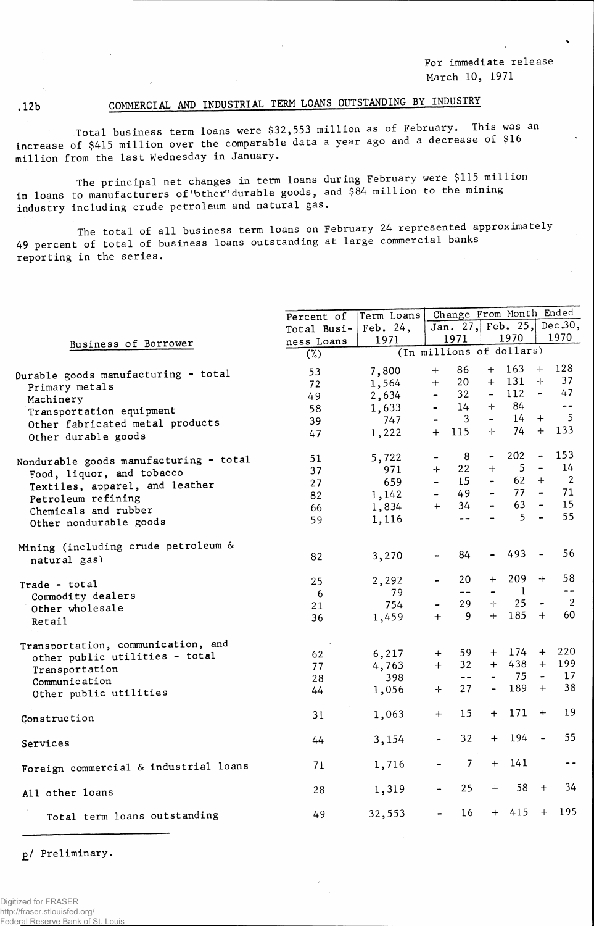For immediate release March 10, 1971

## .12b COMMERCIAL AND INDUSTRIAL TERM LOANS OUTSTANDING BY INDUSTRY

Total business term loans were \$32,553 million as of February. This was an increase of \$415 million over the comparable data a year ago and a decrease of \$16 million from the last Wednesday in January.

The principal net changes in term loans during February were \$115 million in loans to manufacturers of'bther"durable goods, and \$84 million to the mining industry including crude petroleum and natural gas.

The total of all business term loans on February 24 represented approximately 49 percent of total of business loans outstanding at large commercial banks reporting in the series.

|                                        | Percent of  | Term Loans  |                          |                          |                  | Change From Month Ended  |                              |                 |
|----------------------------------------|-------------|-------------|--------------------------|--------------------------|------------------|--------------------------|------------------------------|-----------------|
|                                        | Total Busi- | Feb. $24$ , |                          |                          |                  | Jan. 27, Feb. 25,        |                              | Dec.30,         |
| Business of Borrower                   | ness Loans  | 1971        |                          | 1971                     |                  | 1970                     |                              | 1970            |
|                                        | (%)         |             |                          |                          |                  | (In millions of dollars) |                              |                 |
| Durable goods manufacturing - total    | 53          | 7,800       | $\ddot{}$                | 86                       | $+$              | 163                      |                              | $+ 128$         |
| Primary metals                         | 72          | 1,564       | $+$                      | 20                       | $+$              | 131                      | -⊱                           | 37              |
| Machinery                              | 49          | 2,634       | $\blacksquare$           | 32                       | $\blacksquare$   | 112                      | $\blacksquare$               | 47              |
| Transportation equipment               | 58          | 1,633       | $\blacksquare$           | 14                       | ÷                | 84                       |                              | $\sim$ $\sim$   |
| Other fabricated metal products        | 39          | 747         |                          | $\mathbf{3}$             | $\blacksquare$   | 14                       | $+$                          | $5\overline{5}$ |
| Other durable goods                    | 47          | 1,222       | $+$                      | 115                      | $+$              | 74                       | $+$                          | 133             |
| Nondurable goods manufacturing - total | 51          | 5,722       | -                        | 8                        | $\blacksquare$   | 202                      | $\blacksquare$               | 153             |
| Food, liquor, and tobacco              | 37          | 971         | $+$                      | 22                       | $+$              | 5 <sub>1</sub>           | $\qquad \qquad \blacksquare$ | 14              |
| Textiles, apparel, and leather         | 27          | 659         | $\overline{\phantom{a}}$ | 15                       |                  | 62                       | $+$                          | $\overline{2}$  |
| Petroleum refining                     | 82          | 1,142       |                          | 49                       |                  | 77                       | $\sim$ $-$                   | 71              |
| Chemicals and rubber                   | 66          | 1,834       | $+$                      | 34                       | $\blacksquare$   | 63                       | $\sim$                       | 15              |
| Other nondurable goods                 | 59          | 1,116       |                          | $-1$                     |                  | 5                        | $\overline{\phantom{a}}$     | 55              |
| Mining (including crude petroleum &    |             |             |                          |                          |                  |                          |                              |                 |
| natural gas)                           | 82          | 3,270       |                          | 84                       |                  | 493                      |                              | 56              |
| Trade - total                          | 25          | 2,292       |                          | 20                       | $^{+}$           | 209                      | $+$                          | 58              |
| Commodity dealers                      | 6           | 79          |                          | $- -$                    |                  | $\bf{1}$                 |                              | --              |
| Other wholesale                        | 21          | 754         |                          | 29                       | $+$              | 25                       | $\overline{\phantom{a}}$     | $\overline{2}$  |
| Retail                                 | 36          | 1,459       | $+$                      | 9                        | $+$              | 185                      | $+$                          | 60              |
| Transportation, communication, and     |             |             |                          |                          |                  |                          |                              |                 |
| other public utilities - total         | 62          | 6,217       | $+$                      | 59                       | $+$              | 174                      | $+$                          | 220             |
| Transportation                         | 77          | 4,763       | $+$                      | 32                       | $+$              | 438                      | $+$                          | 199             |
| Communication                          | 28          | 398         |                          | $\overline{\phantom{a}}$ |                  | 75                       |                              | 17              |
| Other public utilities                 | 44          | 1,056       | ┿                        | 27                       | $\blacksquare$   | 189                      | $+$                          | 38              |
| Construction                           | 31          | 1,063       | $^{+}$                   | 15                       | $^{+}$           | 171                      | $\ddot{}$                    | $-19$           |
| Services                               | 44          | 3,154       |                          | 32                       | $+$              | 194                      | $\overline{\phantom{a}}$     | 55              |
| Foreign commercial & industrial loans  | 71          | 1,716       |                          | $\overline{7}$           | $+$              | 141                      |                              | --              |
| All other loans                        | 28          | 1,319       |                          | 25                       | $\boldsymbol{+}$ | 58                       | $+$                          | 34              |
| Total term loans outstanding           | 49          | 32,553      |                          | 16                       | $+$              | 415                      | $^{+}$                       | 195             |

/ Preliminary.